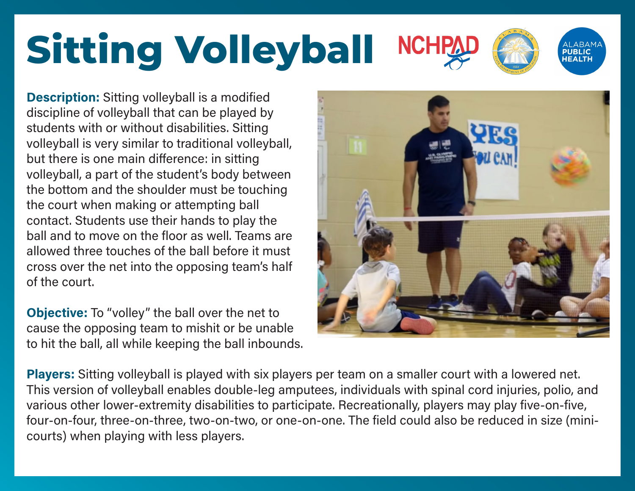### **Sitting Volleyball NCH**

**Description:** Sitting volleyball is a modified discipline of volleyball that can be played by students with or without disabilities. Sitting volleyball is very similar to traditional volleyball, but there is one main difference: in sitting volleyball, a part of the student's body between the bottom and the shoulder must be touching the court when making or attempting ball contact. Students use their hands to play the ball and to move on the floor as well. Teams are allowed three touches of the ball before it must cross over the net into the opposing team's half of the court.

**Objective:** To "volley" the ball over the net to cause the opposing team to mishit or be unable to hit the ball, all while keeping the ball inbounds.



**HEALTH** 

**Players:** Sitting volleyball is played with six players per team on a smaller court with a lowered net. This version of volleyball enables double-leg amputees, individuals with spinal cord injuries, polio, and various other lower-extremity disabilities to participate. Recreationally, players may play five-on-five, four-on-four, three-on-three, two-on-two, or one-on-one. The field could also be reduced in size (minicourts) when playing with less players.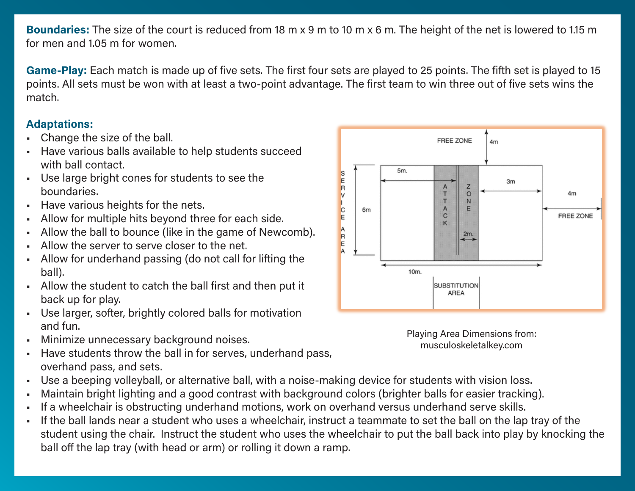**Boundaries:** The size of the court is reduced from 18 m x 9 m to 10 m x 6 m. The height of the net is lowered to 1.15 m for men and 1.05 m for women.

**Game-Play:** Each match is made up of five sets. The first four sets are played to 25 points. The fifth set is played to 15 points. All sets must be won with at least a two-point advantage. The first team to win three out of five sets wins the match.

### **Adaptations:**

- Change the size of the ball.
- Have various balls available to help students succeed with ball contact.
- Use large bright cones for students to see the boundaries.
- Have various heights for the nets.
- Allow for multiple hits beyond three for each side.
- Allow the ball to bounce (like in the game of Newcomb).
- Allow the server to serve closer to the net.
- Allow for underhand passing (do not call for lifting the ball).
- Allow the student to catch the ball first and then put it back up for play.
- Use larger, softer, brightly colored balls for motivation and fun.
- Minimize unnecessary background noises.
- Have students throw the ball in for serves, underhand pass, overhand pass, and sets.
- Use a beeping volleyball, or alternative ball, with a noise-making device for students with vision loss.
- Maintain bright lighting and a good contrast with background colors (brighter balls for easier tracking).
- If a wheelchair is obstructing underhand motions, work on overhand versus underhand serve skills.
- If the ball lands near a student who uses a wheelchair, instruct a teammate to set the ball on the lap tray of the student using the chair. Instruct the student who uses the wheelchair to put the ball back into play by knocking the ball off the lap tray (with head or arm) or rolling it down a ramp.



Playing Area Dimensions from: musculoskeletalkey.com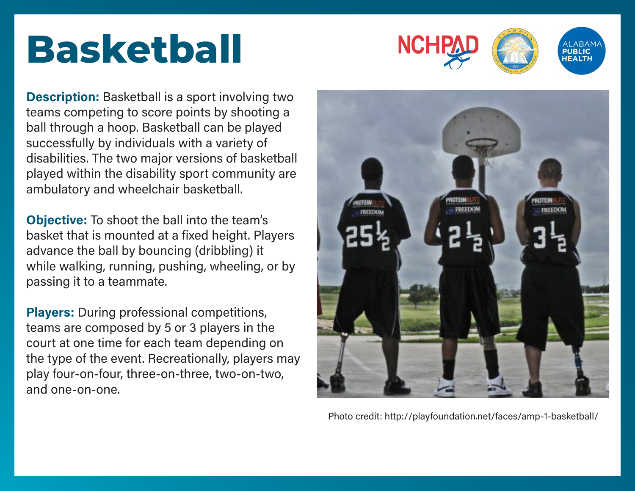### **Basketball**



**Description:** Basketball is a sport involving two teams competing to score points by shooting a ball through a hoop. Basketball can be played successfully by individuals with a variety of disabilities. The two major versions of basketball played within the disability sport community are ambulatory and wheelchair basketball.

**Objective:** To shoot the ball into the team's basket that is mounted at a fixed height. Players advance the ball by bouncing (dribbling) it while walking, running, pushing, wheeling, or by passing it to a teammate.

**Players:** During professional competitions, teams are composed by 5 or 3 players in the court at one time for each team depending on the type of the event. Recreationally, players may play four-on-four, three-on-three, two-on-two, and one-on-one.



Photo credit: http://playfoundation.net/faces/amp-1-basketball/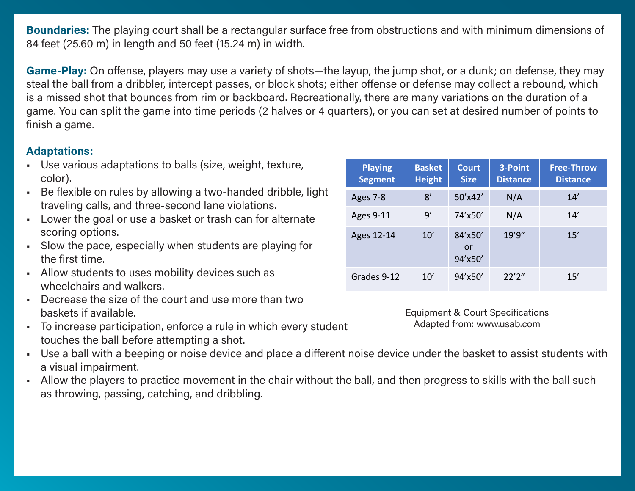**Boundaries:** The playing court shall be a rectangular surface free from obstructions and with minimum dimensions of 84 feet (25.60 m) in length and 50 feet (15.24 m) in width.

**Game-Play:** On offense, players may use a variety of shots—the layup, the jump shot, or a dunk; on defense, they may steal the ball from a dribbler, intercept passes, or block shots; either offense or defense may collect a rebound, which is a missed shot that bounces from rim or backboard. Recreationally, there are many variations on the duration of a game. You can split the game into time periods (2 halves or 4 quarters), or you can set at desired number of points to finish a game.

#### **Adaptations:**

- Use various adaptations to balls (size, weight, texture, color).
- Be flexible on rules by allowing a two-handed dribble, light traveling calls, and three-second lane violations.
- Lower the goal or use a basket or trash can for alternate scoring options.
- Slow the pace, especially when students are playing for the first time.
- Allow students to uses mobility devices such as wheelchairs and walkers.
- Decrease the size of the court and use more than two baskets if available.
- To increase participation, enforce a rule in which every student touches the ball before attempting a shot.
- Use a ball with a beeping or noise device and place a different noise device under the basket to assist students with a visual impairment.
- Allow the players to practice movement in the chair without the ball, and then progress to skills with the ball such as throwing, passing, catching, and dribbling.

| <b>Playing</b><br><b>Segment</b> | <b>Basket</b><br><b>Height</b> | <b>Court</b><br><b>Size</b> | 3-Point<br><b>Distance</b> | <b>Free-Throw</b><br><b>Distance</b> |
|----------------------------------|--------------------------------|-----------------------------|----------------------------|--------------------------------------|
| Ages 7-8                         | 8'                             | 50'x42'                     | N/A                        | 14'                                  |
| <b>Ages 9-11</b>                 | 9'                             | 74'x50'                     | N/A                        | 14'                                  |
| Ages 12-14                       | 10'                            | 84'x50'<br>or<br>94'x50'    | 19'9''                     | 15'                                  |
| Grades 9-12                      | 10'                            | 94'x50'                     | 22'2''                     | 15'                                  |

Equipment & Court Specifications Adapted from: www.usab.com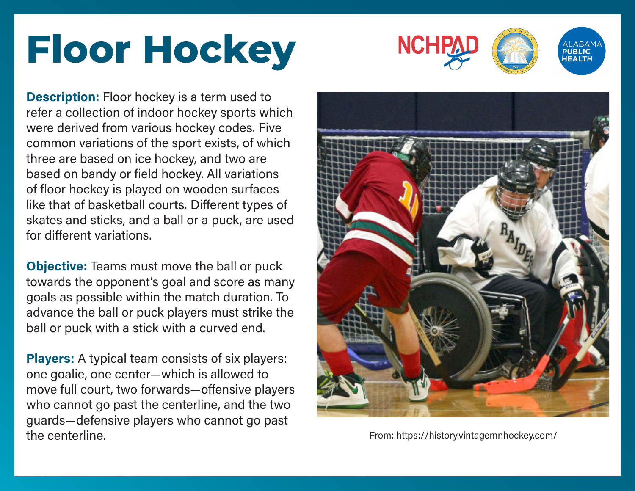## **Floor Hockey**



**Description:** Floor hockey is a term used to refer a collection of indoor hockey sports which were derived from various hockey codes. Five common variations of the sport exists, of which three are based on ice hockey, and two are based on bandy or field hockey. All variations of floor hockey is played on wooden surfaces like that of basketball courts. Different types of skates and sticks, and a ball or a puck, are used for different variations.

**Objective:** Teams must move the ball or puck towards the opponent's goal and score as many goals as possible within the match duration. To advance the ball or puck players must strike the ball or puck with a stick with a curved end.

**Players:** A typical team consists of six players: one goalie, one center—which is allowed to move full court, two forwards—offensive players who cannot go past the centerline, and the two guards—defensive players who cannot go past the centerline. From: https://history.vintagemnhockey.com/

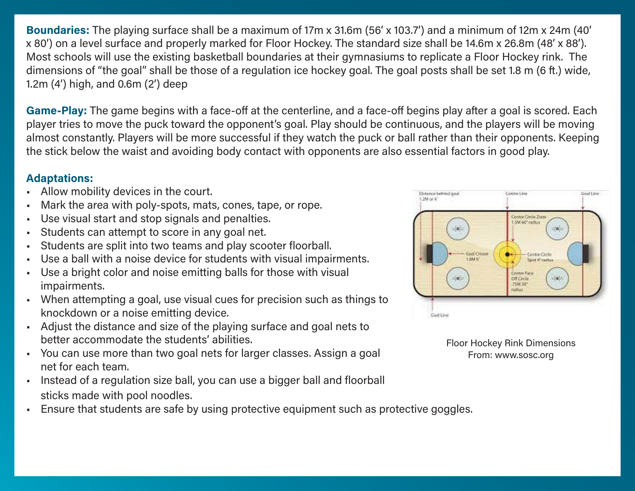**Boundaries:** The playing surface shall be a maximum of 17m x 31.6m (56' x 103.7') and a minimum of 12m x 24m (40' x 80') on a level surface and properly marked for Floor Hockey. The standard size shall be 14.6m x 26.8m (48' x 88'). Most schools will use the existing basketball boundaries at their gymnasiums to replicate a Floor Hockey rink. The dimensions of "the goal" shall be those of a regulation ice hockey goal. The goal posts shall be set 1.8 m (6 ft.) wide, 1.2m (4') high, and 0.6m (2') deep

**Game-Play:** The game begins with a face-off at the centerline, and a face-off begins play after a goal is scored. Each player tries to move the puck toward the opponent's goal. Play should be continuous, and the players will be moving almost constantly. Players will be more successful if they watch the puck or ball rather than their opponents. Keeping the stick below the waist and avoiding body contact with opponents are also essential factors in good play.

### **Adaptations:**

- Allow mobility devices in the court.
- Mark the area with poly-spots, mats, cones, tape, or rope.
- Use visual start and stop signals and penalties.
- Students can attempt to score in any goal net.
- Students are split into two teams and play scooter floorball.
- Use a ball with a noise device for students with visual impairments.
- Use a bright color and noise emitting balls for those with visual impairments.
- When attempting a goal, use visual cues for precision such as things to knockdown or a noise emitting device.
- Adjust the distance and size of the playing surface and goal nets to better accommodate the students' abilities.
- You can use more than two goal nets for larger classes. Assign a goal net for each team.
- Instead of a regulation size ball, you can use a bigger ball and floorball sticks made with pool noodles.
- Ensure that students are safe by using protective equipment such as protective goggles.



Floor Hockey Rink Dimensions From: www.sosc.org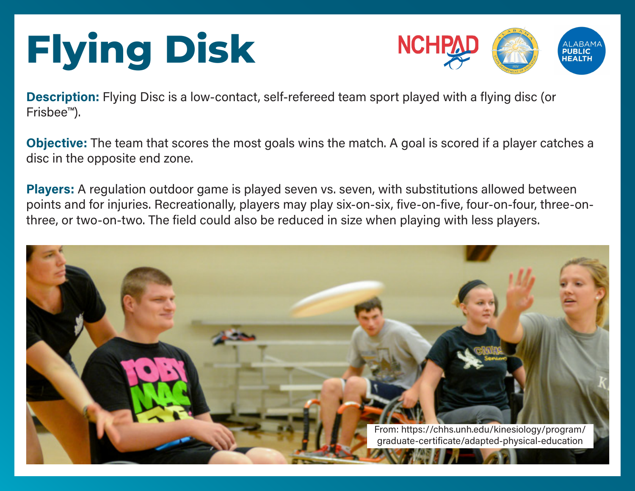# **Flying Disk**



**Description:** Flying Disc is a low-contact, self-refereed team sport played with a flying disc (or Frisbee™).

**Objective:** The team that scores the most goals wins the match. A goal is scored if a player catches a disc in the opposite end zone.

**Players:** A regulation outdoor game is played seven vs. seven, with substitutions allowed between points and for injuries. Recreationally, players may play six-on-six, five-on-five, four-on-four, three-onthree, or two-on-two. The field could also be reduced in size when playing with less players.

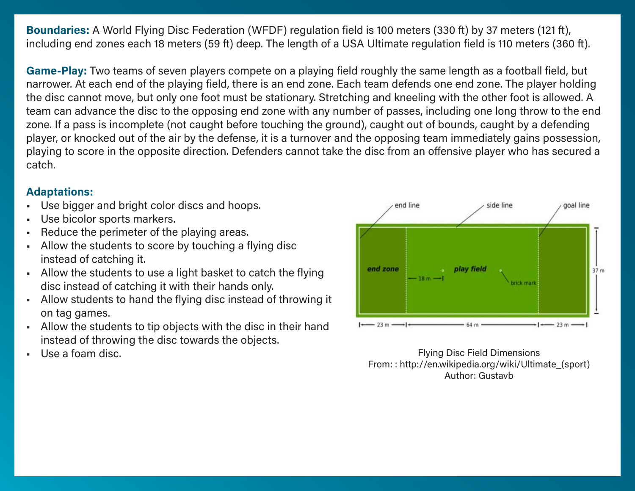**Boundaries:** A World Flying Disc Federation (WFDF) regulation field is 100 meters (330 ft) by 37 meters (121 ft), including end zones each 18 meters (59 ft) deep. The length of a USA Ultimate regulation field is 110 meters (360 ft).

**Game-Play:** Two teams of seven players compete on a playing field roughly the same length as a football field, but narrower. At each end of the playing field, there is an end zone. Each team defends one end zone. The player holding the disc cannot move, but only one foot must be stationary. Stretching and kneeling with the other foot is allowed. A team can advance the disc to the opposing end zone with any number of passes, including one long throw to the end zone. If a pass is incomplete (not caught before touching the ground), caught out of bounds, caught by a defending player, or knocked out of the air by the defense, it is a turnover and the opposing team immediately gains possession, playing to score in the opposite direction. Defenders cannot take the disc from an offensive player who has secured a catch.

### **Adaptations:**

- Use bigger and bright color discs and hoops.
- Use bicolor sports markers.
- Reduce the perimeter of the playing areas.
- Allow the students to score by touching a flying disc instead of catching it.
- Allow the students to use a light basket to catch the flying disc instead of catching it with their hands only.
- Allow students to hand the flying disc instead of throwing it on tag games.
- Allow the students to tip objects with the disc in their hand instead of throwing the disc towards the objects.
- 



Use a foam disc. **Figure 1.1** Use a foam disc. From: : http://en.wikipedia.org/wiki/Ultimate\_(sport) Author: Gustavb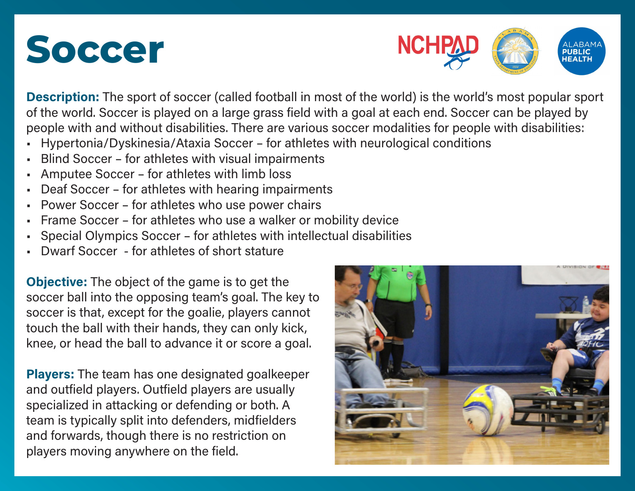



**Description:** The sport of soccer (called football in most of the world) is the world's most popular sport of the world. Soccer is played on a large grass field with a goal at each end. Soccer can be played by people with and without disabilities. There are various soccer modalities for people with disabilities:

- Hypertonia/Dyskinesia/Ataxia Soccer for athletes with neurological conditions
- Blind Soccer for athletes with visual impairments
- Amputee Soccer for athletes with limb loss
- Deaf Soccer for athletes with hearing impairments
- Power Soccer for athletes who use power chairs
- Frame Soccer for athletes who use a walker or mobility device
- Special Olympics Soccer for athletes with intellectual disabilities
- Dwarf Soccer for athletes of short stature

**Objective:** The object of the game is to get the soccer ball into the opposing team's goal. The key to soccer is that, except for the goalie, players cannot touch the ball with their hands, they can only kick, knee, or head the ball to advance it or score a goal.

**Players:** The team has one designated goalkeeper and outfield players. Outfield players are usually specialized in attacking or defending or both. A team is typically split into defenders, midfielders and forwards, though there is no restriction on players moving anywhere on the field.